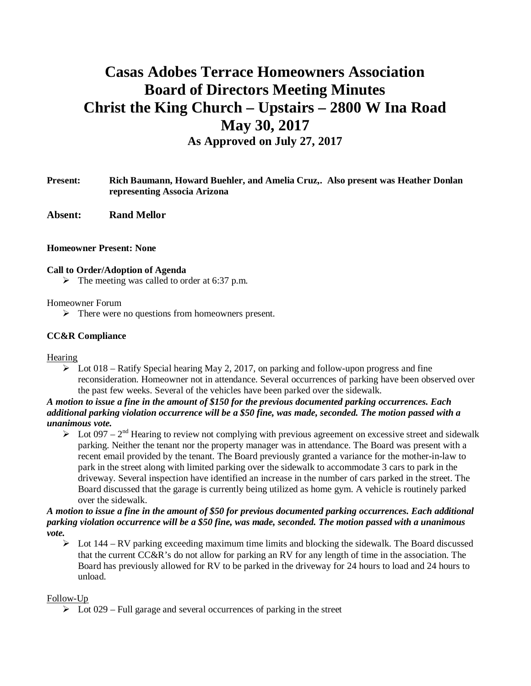# **Casas Adobes Terrace Homeowners Association Board of Directors Meeting Minutes Christ the King Church – Upstairs – 2800 W Ina Road May 30, 2017 As Approved on July 27, 2017**

- **Present: Rich Baumann, Howard Buehler, and Amelia Cruz,. Also present was Heather Donlan representing Associa Arizona**
- **Absent: Rand Mellor**

#### **Homeowner Present: None**

#### **Call to Order/Adoption of Agenda**

 $\triangleright$  The meeting was called to order at 6:37 p.m.

#### Homeowner Forum

 $\triangleright$  There were no questions from homeowners present.

## **CC&R Compliance**

#### **Hearing**

 $\triangleright$  Lot 018 – Ratify Special hearing May 2, 2017, on parking and follow-upon progress and fine reconsideration. Homeowner not in attendance. Several occurrences of parking have been observed over the past few weeks. Several of the vehicles have been parked over the sidewalk.

## *A motion to issue a fine in the amount of \$150 for the previous documented parking occurrences. Each additional parking violation occurrence will be a \$50 fine, was made, seconded. The motion passed with a unanimous vote.*

 $\geq$  Lot 097 – 2<sup>nd</sup> Hearing to review not complying with previous agreement on excessive street and sidewalk parking. Neither the tenant nor the property manager was in attendance. The Board was present with a recent email provided by the tenant. The Board previously granted a variance for the mother-in-law to park in the street along with limited parking over the sidewalk to accommodate 3 cars to park in the driveway. Several inspection have identified an increase in the number of cars parked in the street. The Board discussed that the garage is currently being utilized as home gym. A vehicle is routinely parked over the sidewalk.

#### *A motion to issue a fine in the amount of \$50 for previous documented parking occurrences. Each additional parking violation occurrence will be a \$50 fine, was made, seconded. The motion passed with a unanimous vote.*

 $\triangleright$  Lot 144 – RV parking exceeding maximum time limits and blocking the sidewalk. The Board discussed that the current CC&R's do not allow for parking an RV for any length of time in the association. The Board has previously allowed for RV to be parked in the driveway for 24 hours to load and 24 hours to unload.

#### Follow-Up

 $\triangleright$  Lot 029 – Full garage and several occurrences of parking in the street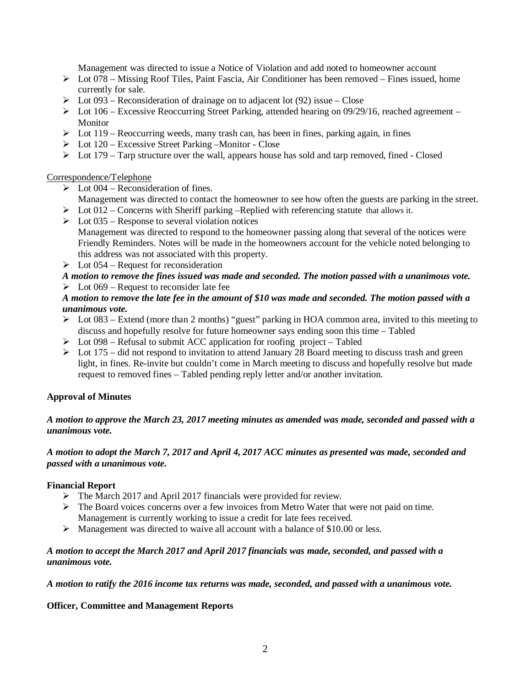Management was directed to issue a Notice of Violation and add noted to homeowner account

- $\triangleright$  Lot 078 Missing Roof Tiles, Paint Fascia, Air Conditioner has been removed Fines issued, home currently for sale.
- $\triangleright$  Lot 093 Reconsideration of drainage on to adjacent lot (92) issue Close
- $\triangleright$  Lot 106 Excessive Reoccurring Street Parking, attended hearing on 09/29/16, reached agreement Monitor
- $\triangleright$  Lot 119 Reoccurring weeds, many trash can, has been in fines, parking again, in fines
- $\triangleright$  Lot 120 Excessive Street Parking –Monitor Close
- $\triangleright$  Lot 179 Tarp structure over the wall, appears house has sold and tarp removed, fined Closed

#### Correspondence/Telephone

- $\triangleright$  Lot 004 Reconsideration of fines.
- Management was directed to contact the homeowner to see how often the guests are parking in the street.  $\triangleright$  Lot 012 – Concerns with Sheriff parking –Replied with referencing statute that allows it.
- $\triangleright$  Lot 035 Response to several violation notices Management was directed to respond to the homeowner passing along that several of the notices were Friendly Reminders. Notes will be made in the homeowners account for the vehicle noted belonging to this address was not associated with this property.
- $\triangleright$  Lot 054 Request for reconsideration

## *A motion to remove the fines issued was made and seconded. The motion passed with a unanimous vote.*  $\triangleright$  Lot 069 – Request to reconsider late fee

## *A motion to remove the late fee in the amount of \$10 was made and seconded. The motion passed with a unanimous vote.*

- $\triangleright$  Lot 083 Extend (more than 2 months) "guest" parking in HOA common area, invited to this meeting to discuss and hopefully resolve for future homeowner says ending soon this time – Tabled
- $\triangleright$  Lot 098 Refusal to submit ACC application for roofing project Tabled
- $\triangleright$  Lot 175 did not respond to invitation to attend January 28 Board meeting to discuss trash and green light, in fines. Re-invite but couldn't come in March meeting to discuss and hopefully resolve but made request to removed fines – Tabled pending reply letter and/or another invitation.

# **Approval of Minutes**

## *A motion to approve the March 23, 2017 meeting minutes as amended was made, seconded and passed with a unanimous vote.*

## *A motion to adopt the March 7, 2017 and April 4, 2017 ACC minutes as presented was made, seconded and passed with a unanimous vote.*

# **Financial Report**

- $\triangleright$  The March 2017 and April 2017 financials were provided for review.
- $\triangleright$  The Board voices concerns over a few invoices from Metro Water that were not paid on time. Management is currently working to issue a credit for late fees received.
- Ø Management was directed to waive all account with a balance of \$10.00 or less.

## *A motion to accept the March 2017 and April 2017 financials was made, seconded, and passed with a unanimous vote.*

*A motion to ratify the 2016 income tax returns was made, seconded, and passed with a unanimous vote.*

# **Officer, Committee and Management Reports**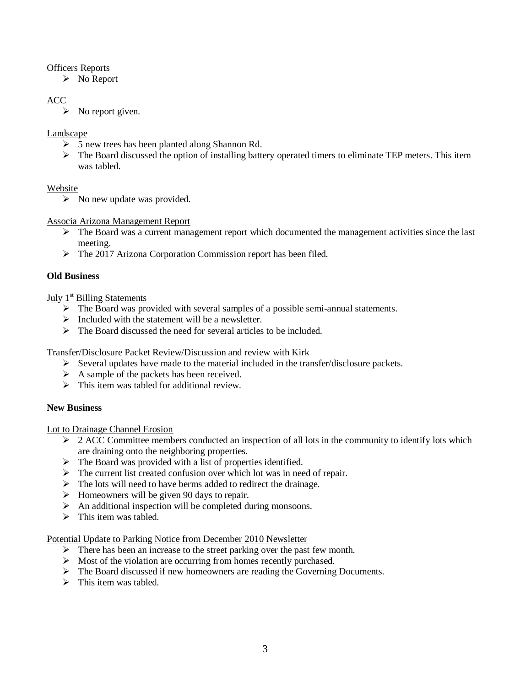## Officers Reports

 $\triangleright$  No Report

# ACC

 $\triangleright$  No report given.

## Landscape

- $\geq 5$  new trees has been planted along Shannon Rd.
- $\triangleright$  The Board discussed the option of installing battery operated timers to eliminate TEP meters. This item was tabled.

#### Website

 $\triangleright$  No new update was provided.

## Associa Arizona Management Report

- $\triangleright$  The Board was a current management report which documented the management activities since the last meeting.
- Ø The 2017 Arizona Corporation Commission report has been filed.

# **Old Business**

## July  $1<sup>st</sup>$  Billing Statements

- $\triangleright$  The Board was provided with several samples of a possible semi-annual statements.
- $\triangleright$  Included with the statement will be a newsletter.
- $\triangleright$  The Board discussed the need for several articles to be included.

#### Transfer/Disclosure Packet Review/Discussion and review with Kirk

- $\triangleright$  Several updates have made to the material included in the transfer/disclosure packets.
- $\triangleright$  A sample of the packets has been received.
- $\triangleright$  This item was tabled for additional review.

#### **New Business**

#### Lot to Drainage Channel Erosion

- $\geq$  2 ACC Committee members conducted an inspection of all lots in the community to identify lots which are draining onto the neighboring properties.
- $\triangleright$  The Board was provided with a list of properties identified.
- $\triangleright$  The current list created confusion over which lot was in need of repair.
- $\triangleright$  The lots will need to have berms added to redirect the drainage.
- $\triangleright$  Homeowners will be given 90 days to repair.
- $\triangleright$  An additional inspection will be completed during monsoons.
- $\triangleright$  This item was tabled.

#### Potential Update to Parking Notice from December 2010 Newsletter

- $\triangleright$  There has been an increase to the street parking over the past few month.
- $\triangleright$  Most of the violation are occurring from homes recently purchased.
- $\triangleright$  The Board discussed if new homeowners are reading the Governing Documents.
- $\triangleright$  This item was tabled.